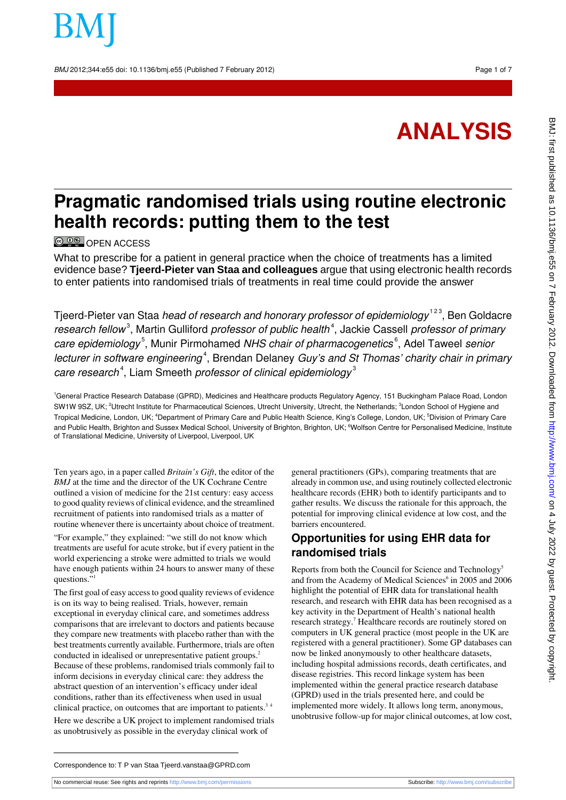BMJ 2012;344:e55 doi: 10.1136/bmj.e55 (Published 7 February 2012) Page 1 of 7

# **ANALYSIS**

# **Pragmatic randomised trials using routine electronic health records: putting them to the test**

**C**  $\frac{0}{2}$  OPEN ACCESS

What to prescribe for a patient in general practice when the choice of treatments has a limited evidence base? **Tjeerd-Pieter van Staa and colleagues** argue that using electronic health records to enter patients into randomised trials of treatments in real time could provide the answer

Tjeerd-Pieter van Staa head of research and honorary professor of epidemiology<sup>123</sup>, Ben Goldacre research fellow<sup>3</sup>, Martin Gulliford professor of public health<sup>4</sup>, Jackie Cassell professor of primary care epidemiology<sup>5</sup>, Munir Pirmohamed NHS chair of pharmacogenetics<sup>6</sup>, Adel Taweel senior lecturer in software engineering<sup>4</sup>, Brendan Delaney Guy's and St Thomas' charity chair in primary care research<sup>4</sup>, Liam Smeeth professor of clinical epidemiology<sup>3</sup>

<sup>1</sup>General Practice Research Database (GPRD), Medicines and Healthcare products Regulatory Agency, 151 Buckingham Palace Road, London SW1W 9SZ, UK; <sup>2</sup>Utrecht Institute for Pharmaceutical Sciences, Utrecht University, Utrecht, the Netherlands; <sup>3</sup>London School of Hygiene and Tropical Medicine, London, UK; <sup>4</sup>Department of Primary Care and Public Health Science, King's College, London, UK; <sup>5</sup>Division of Primary Care and Public Health, Brighton and Sussex Medical School, University of Brighton, Brighton, UK; <sup>6</sup>Wolfson Centre for Personalised Medicine, Institute of Translational Medicine, University of Liverpool, Liverpool, UK

Ten years ago, in a paper called *Britain's Gift*, the editor of the *BMJ* at the time and the director of the UK Cochrane Centre outlined a vision of medicine for the 21st century: easy access to good quality reviews of clinical evidence, and the streamlined recruitment of patients into randomised trials as a matter of routine whenever there is uncertainty about choice of treatment.

"For example," they explained: "we still do not know which treatments are useful for acute stroke, but if every patient in the world experiencing a stroke were admitted to trials we would have enough patients within 24 hours to answer many of these questions."<sup>1</sup>

The first goal of easy access to good quality reviews of evidence is on its way to being realised. Trials, however, remain exceptional in everyday clinical care, and sometimes address comparisons that are irrelevant to doctors and patients because they compare new treatments with placebo rather than with the best treatments currently available. Furthermore, trials are often conducted in idealised or unrepresentative patient groups.<sup>2</sup> Because of these problems, randomised trials commonly fail to inform decisions in everyday clinical care: they address the abstract question of an intervention's efficacy under ideal conditions, rather than its effectiveness when used in usual clinical practice, on outcomes that are important to patients.<sup>34</sup>

Here we describe a UK project to implement randomised trials as unobtrusively as possible in the everyday clinical work of

general practitioners (GPs), comparing treatments that are already in common use, and using routinely collected electronic healthcare records (EHR) both to identify participants and to gather results. We discuss the rationale for this approach, the potential for improving clinical evidence at low cost, and the barriers encountered.

## **Opportunities for using EHR data for randomised trials**

Reports from both the Council for Science and Technology<sup>5</sup> and from the Academy of Medical Sciences<sup>6</sup> in 2005 and 2006 highlight the potential of EHR data for translational health research, and research with EHR data has been recognised as a key activity in the Department of Health's national health research strategy.<sup>7</sup> Healthcare records are routinely stored on computers in UK general practice (most people in the UK are registered with a general practitioner). Some GP databases can now be linked anonymously to other healthcare datasets, including hospital admissions records, death certificates, and disease registries. This record linkage system has been implemented within the general practice research database (GPRD) used in the trials presented here, and could be implemented more widely. It allows long term, anonymous, unobtrusive follow-up for major clinical outcomes, at low cost,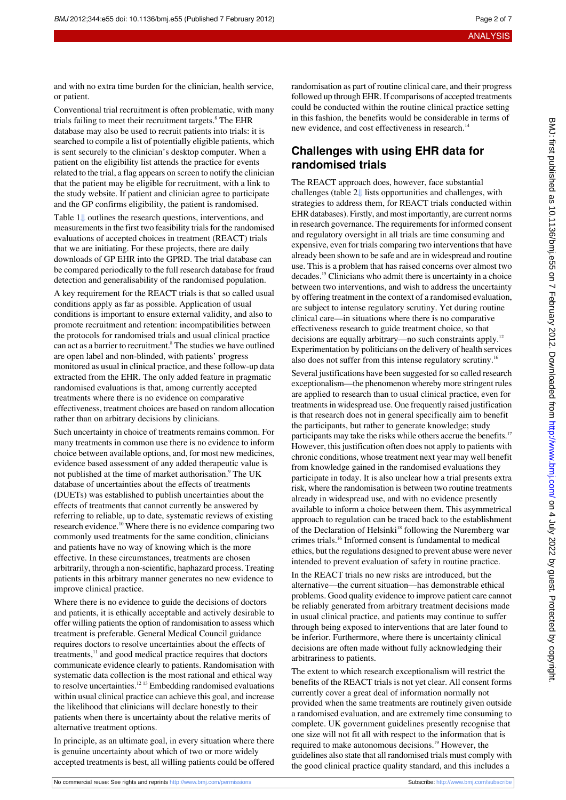followed up through EHR. If comparisons of accepted treatments could be conducted within the routine clinical practice setting in this fashion, the benefits would be considerable in terms of new evidence, and cost effectiveness in research.<sup>14</sup> **Challenges with using EHR data for randomised trials**

> The REACT approach does, however, face substantial challenges (table [2⇓](#page-5-0) lists opportunities and challenges, with strategies to address them, for REACT trials conducted within EHR databases). Firstly, and most importantly, are current norms in research governance. The requirements for informed consent and regulatory oversight in all trials are time consuming and expensive, even for trials comparing two interventions that have already been shown to be safe and are in widespread and routine use. This is a problem that has raised concerns over almost two decades.<sup>15</sup> Clinicians who admit there is uncertainty in a choice between two interventions, and wish to address the uncertainty by offering treatment in the context of a randomised evaluation, are subject to intense regulatory scrutiny. Yet during routine clinical care—in situations where there is no comparative effectiveness research to guide treatment choice, so that decisions are equally arbitrary—no such constraints apply.<sup>12</sup> Experimentation by politicians on the delivery of health services also does not suffer from this intense regulatory scrutiny.<sup>16</sup>

> randomisation as part of routine clinical care, and their progress

Several justifications have been suggested for so called research exceptionalism—the phenomenon whereby more stringent rules are applied to research than to usual clinical practice, even for treatments in widespread use. One frequently raised justification is that research does not in general specifically aim to benefit the participants, but rather to generate knowledge; study participants may take the risks while others accrue the benefits.<sup>17</sup> However, this justification often does not apply to patients with chronic conditions, whose treatment next year may well benefit from knowledge gained in the randomised evaluations they participate in today. It is also unclear how a trial presents extra risk, where the randomisation is between two routine treatments already in widespread use, and with no evidence presently available to inform a choice between them. This asymmetrical approach to regulation can be traced back to the establishment of the Declaration of Helsinki<sup>18</sup> following the Nuremberg war crimes trials.<sup>16</sup> Informed consent is fundamental to medical ethics, but the regulations designed to prevent abuse were never intended to prevent evaluation of safety in routine practice.

In the REACT trials no new risks are introduced, but the alternative—the current situation—has demonstrable ethical problems. Good quality evidence to improve patient care cannot be reliably generated from arbitrary treatment decisions made in usual clinical practice, and patients may continue to suffer through being exposed to interventions that are later found to be inferior. Furthermore, where there is uncertainty clinical decisions are often made without fully acknowledging their arbitrariness to patients.

The extent to which research exceptionalism will restrict the benefits of the REACT trials is not yet clear. All consent forms currently cover a great deal of information normally not provided when the same treatments are routinely given outside a randomised evaluation, and are extremely time consuming to complete. UK government guidelines presently recognise that one size will not fit all with respect to the information that is required to make autonomous decisions.<sup>19</sup> However, the guidelines also state that all randomised trials must comply with the good clinical practice quality standard, and this includes a

and with no extra time burden for the clinician, health service, or patient.

Conventional trial recruitment is often problematic, with many trials failing to meet their recruitment targets.<sup>8</sup> The EHR database may also be used to recruit patients into trials: it is searched to compile a list of potentially eligible patients, which is sent securely to the clinician's desktop computer. When a patient on the eligibility list attends the practice for events related to the trial, a flag appears on screen to notify the clinician that the patient may be eligible for recruitment, with a link to the study website. If patient and clinician agree to participate and the GP confirms eligibility, the patient is randomised.

Table1[⇓](#page-4-0) outlines the research questions, interventions, and measurements in the first two feasibility trials for the randomised evaluations of accepted choices in treatment (REACT) trials that we are initiating. For these projects, there are daily downloads of GP EHR into the GPRD. The trial database can be compared periodically to the full research database for fraud detection and generalisability of the randomised population.

A key requirement for the REACT trials is that so called usual conditions apply as far as possible. Application of usual conditions is important to ensure external validity, and also to promote recruitment and retention: incompatibilities between the protocols for randomised trials and usual clinical practice can act as a barrier to recruitment.<sup>8</sup> The studies we have outlined are open label and non-blinded, with patients' progress monitored as usual in clinical practice, and these follow-up data extracted from the EHR. The only added feature in pragmatic randomised evaluations is that, among currently accepted treatments where there is no evidence on comparative effectiveness, treatment choices are based on random allocation rather than on arbitrary decisions by clinicians.

Such uncertainty in choice of treatments remains common. For many treatments in common use there is no evidence to inform choice between available options, and, for most new medicines, evidence based assessment of any added therapeutic value is not published at the time of market authorisation.<sup>9</sup> The UK database of uncertainties about the effects of treatments (DUETs) was established to publish uncertainties about the effects of treatments that cannot currently be answered by referring to reliable, up to date, systematic reviews of existing research evidence.<sup>10</sup> Where there is no evidence comparing two commonly used treatments for the same condition, clinicians and patients have no way of knowing which is the more effective. In these circumstances, treatments are chosen arbitrarily, through a non-scientific, haphazard process. Treating patients in this arbitrary manner generates no new evidence to improve clinical practice.

Where there is no evidence to guide the decisions of doctors and patients, it is ethically acceptable and actively desirable to offer willing patients the option of randomisation to assess which treatment is preferable. General Medical Council guidance requires doctors to resolve uncertainties about the effects of treatments,<sup>11</sup> and good medical practice requires that doctors communicate evidence clearly to patients. Randomisation with systematic data collection is the most rational and ethical way to resolve uncertainties.<sup>12</sup><sup>13</sup> Embedding randomised evaluations within usual clinical practice can achieve this goal, and increase the likelihood that clinicians will declare honestly to their patients when there is uncertainty about the relative merits of alternative treatment options.

In principle, as an ultimate goal, in every situation where there is genuine uncertainty about which of two or more widely accepted treatments is best, all willing patients could be offered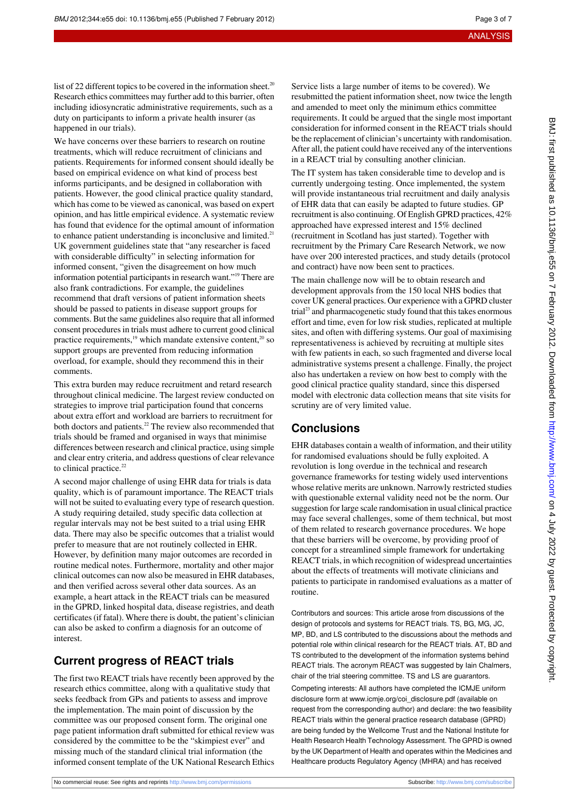list of 22 different topics to be covered in the information sheet. $20$ Research ethics committees may further add to this barrier, often including idiosyncratic administrative requirements, such as a duty on participants to inform a private health insurer (as happened in our trials).

We have concerns over these barriers to research on routine treatments, which will reduce recruitment of clinicians and patients. Requirements for informed consent should ideally be based on empirical evidence on what kind of process best informs participants, and be designed in collaboration with patients. However, the good clinical practice quality standard, which has come to be viewed as canonical, was based on expert opinion, and has little empirical evidence. A systematic review has found that evidence for the optimal amount of information to enhance patient understanding is inconclusive and limited.<sup>21</sup> UK government guidelines state that "any researcher is faced with considerable difficulty" in selecting information for informed consent, "given the disagreement on how much information potential participants in research want."<sup>19</sup> There are also frank contradictions. For example, the guidelines recommend that draft versions of patient information sheets should be passed to patients in disease support groups for comments. But the same guidelines also require that all informed consent procedures in trials must adhere to current good clinical practice requirements, $19$  which mandate extensive content, $20$  so support groups are prevented from reducing information overload, for example, should they recommend this in their comments.

This extra burden may reduce recruitment and retard research throughout clinical medicine. The largest review conducted on strategies to improve trial participation found that concerns about extra effort and workload are barriers to recruitment for both doctors and patients.<sup>22</sup> The review also recommended that trials should be framed and organised in ways that minimise differences between research and clinical practice, using simple and clear entry criteria, and address questions of clear relevance to clinical practice.<sup>22</sup>

A second major challenge of using EHR data for trials is data quality, which is of paramount importance. The REACT trials will not be suited to evaluating every type of research question. A study requiring detailed, study specific data collection at regular intervals may not be best suited to a trial using EHR data. There may also be specific outcomes that a trialist would prefer to measure that are not routinely collected in EHR. However, by definition many major outcomes are recorded in routine medical notes. Furthermore, mortality and other major clinical outcomes can now also be measured in EHR databases, and then verified across several other data sources. As an example, a heart attack in the REACT trials can be measured in the GPRD, linked hospital data, disease registries, and death certificates (if fatal). Where there is doubt, the patient's clinician can also be asked to confirm a diagnosis for an outcome of interest.

## **Current progress of REACT trials**

The first two REACT trials have recently been approved by the research ethics committee, along with a qualitative study that seeks feedback from GPs and patients to assess and improve the implementation. The main point of discussion by the committee was our proposed consent form. The original one page patient information draft submitted for ethical review was considered by the committee to be the "skimpiest ever" and missing much of the standard clinical trial information (the informed consent template of the UK National Research Ethics

Service lists a large number of items to be covered). We resubmitted the patient information sheet, now twice the length and amended to meet only the minimum ethics committee requirements. It could be argued that the single most important consideration for informed consent in the REACT trials should be the replacement of clinician's uncertainty with randomisation. After all, the patient could have received any of the interventions in a REACT trial by consulting another clinician.

The IT system has taken considerable time to develop and is currently undergoing testing. Once implemented, the system will provide instantaneous trial recruitment and daily analysis of EHR data that can easily be adapted to future studies. GP recruitment is also continuing. Of English GPRD practices, 42% approached have expressed interest and 15% declined (recruitment in Scotland has just started). Together with recruitment by the Primary Care Research Network, we now have over 200 interested practices, and study details (protocol and contract) have now been sent to practices.

The main challenge now will be to obtain research and development approvals from the 150 local NHS bodies that cover UK general practices. Our experience with a GPRD cluster  $trial<sup>23</sup>$  and pharmacogenetic study found that this takes enormous effort and time, even for low risk studies, replicated at multiple sites, and often with differing systems. Our goal of maximising representativeness is achieved by recruiting at multiple sites with few patients in each, so such fragmented and diverse local administrative systems present a challenge. Finally, the project also has undertaken a review on how best to comply with the good clinical practice quality standard, since this dispersed model with electronic data collection means that site visits for scrutiny are of very limited value.

## **Conclusions**

EHR databases contain a wealth of information, and their utility for randomised evaluations should be fully exploited. A revolution is long overdue in the technical and research governance frameworks for testing widely used interventions whose relative merits are unknown. Narrowly restricted studies with questionable external validity need not be the norm. Our suggestion for large scale randomisation in usual clinical practice may face several challenges, some of them technical, but most of them related to research governance procedures. We hope that these barriers will be overcome, by providing proof of concept for a streamlined simple framework for undertaking REACT trials, in which recognition of widespread uncertainties about the effects of treatments will motivate clinicians and patients to participate in randomised evaluations as a matter of routine.

Contributors and sources: This article arose from discussions of the design of protocols and systems for REACT trials. TS, BG, MG, JC, MP, BD, and LS contributed to the discussions about the methods and potential role within clinical research for the REACT trials. AT, BD and TS contributed to the development of the information systems behind REACT trials. The acronym REACT was suggested by Iain Chalmers, chair of the trial steering committee. TS and LS are guarantors. Competing interests: All authors have completed the ICMJE uniform disclosure form at [www.icmje.org/coi\\_disclosure.pdf](http://www.icmje.org/coi_disclosure.pdf) (available on request from the corresponding author) and declare: the two feasibility REACT trials within the general practice research database (GPRD) are being funded by the Wellcome Trust and the National Institute for Health Research Health Technology Assessment. The GPRD is owned by the UK Department of Health and operates within the Medicines and Healthcare products Regulatory Agency (MHRA) and has received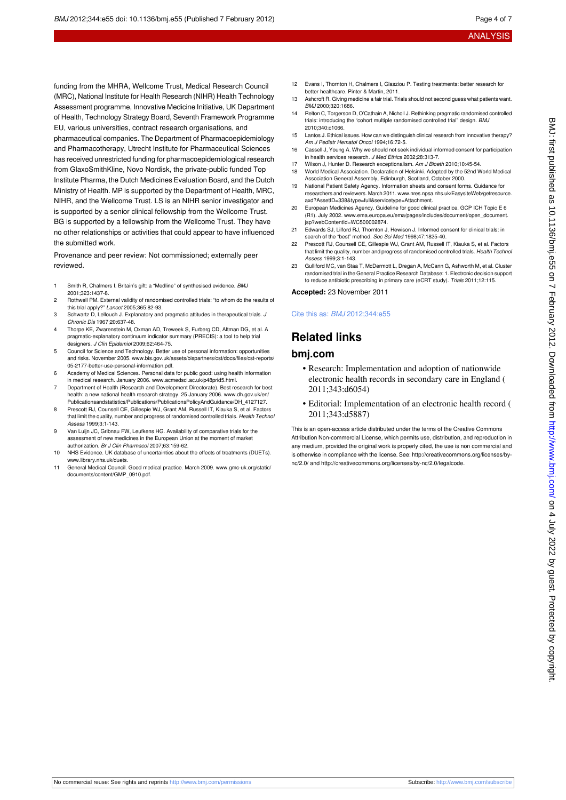funding from the MHRA, Wellcome Trust, Medical Research Council (MRC), National Institute for Health Research (NIHR) Health Technology Assessment programme, Innovative Medicine Initiative, UK Department of Health, Technology Strategy Board, Seventh Framework Programme EU, various universities, contract research organisations, and pharmaceutical companies. The Department of Pharmacoepidemiology and Pharmacotherapy, Utrecht Institute for Pharmaceutical Sciences has received unrestricted funding for pharmacoepidemiological research from GlaxoSmithKline, Novo Nordisk, the private-public funded Top Institute Pharma, the Dutch Medicines Evaluation Board, and the Dutch Ministry of Health. MP is supported by the Department of Health, MRC, NIHR, and the Wellcome Trust. LS is an NIHR senior investigator and is supported by a senior clinical fellowship from the Wellcome Trust. BG is supported by a fellowship from the Wellcome Trust. They have no other relationships or activities that could appear to have influenced the submitted work.

Provenance and peer review: Not commissioned; externally peer reviewed.

- 1 Smith R, Chalmers I. Britain's gift: a "Medline" of synthesised evidence. BMJ 2001;323:1437-8.
- 2 Rothwell PM. External validity of randomised controlled trials: "to whom do the results of this trial apply?" Lancet 2005;365:82-93.
- 3 Schwartz D, Lellouch J. Explanatory and pragmatic attitudes in therapeutical trials. J Chronic Dis 1967;20:637-48.
- 4 Thorpe KE, Zwarenstein M, Oxman AD, Treweek S, Furberg CD, Altman DG, et al. A pragmatic-explanatory continuum indicator summary (PRECIS): a tool to help trial designers. J Clin Epidemiol 2009;62:464-75.
- 5 Council for Science and Technology. Better use of personal information: opportunities and risks. November 2005. [www.bis.gov.uk/assets/bispartners/cst/docs/files/cst-reports/](http://www.bis.gov.uk/assets/bispartners/cst/docs/files/cst-reports/05-2177-better-use-personal-information.pdf) [05-2177-better-use-personal-information.pdf](http://www.bis.gov.uk/assets/bispartners/cst/docs/files/cst-reports/05-2177-better-use-personal-information.pdf).
- 6 Academy of Medical Sciences. Personal data for public good: using health info in medical research. January 2006. [www.acmedsci.ac.uk/p48prid5.html](http://www.acmedsci.ac.uk/p48prid5.html).
- 7 Department of Health (Research and Development Directorate). Best research for best health: a new national health research strategy. 25 January 2006. [www.dh.gov.uk/en/](http://www.dh.gov.uk/en/Publicationsandstatistics/Publications/PublicationsPolicyAndGuidance/DH_4127127) [Publicationsandstatistics/Publications/PublicationsPolicyAndGuidance/DH\\_4127127.](http://www.dh.gov.uk/en/Publicationsandstatistics/Publications/PublicationsPolicyAndGuidance/DH_4127127)
- 8 Prescott RJ, Counsell CE, Gillespie WJ, Grant AM, Russell IT, Kiauka S, et al. Factors that limit the quality, number and progress of randomised controlled trials. Health Technol Assess 1999;3:1-143.
- Van Luijn JC, Gribnau FW, Leufkens HG. Availability of comparative trials for the assessment of new medicines in the European Union at the moment of market authorization. Br J Clin Pharmacol 2007;63:159-62.
- 10 NHS Evidence. UK database of uncertainties about the effects of treatments (DUETs). [www.library.nhs.uk/duets](http://www.library.nhs.uk/duets).
- 11 General Medical Council. Good medical practice. March 2009. [www.gmc-uk.org/static/](http://www.gmc-uk.org/static/documents/content/GMP_0910.pdf) [documents/content/GMP\\_0910.pdf.](http://www.gmc-uk.org/static/documents/content/GMP_0910.pdf)
- 12 Evans I, Thornton H, Chalmers I, Glasziou P. Testing treatments: better research for better healthcare. Pinter & Martin, 2011.
- 13 Ashcroft R. Giving medicine a fair trial. Trials should not second guess what patients want BMJ 2000;320:1686.
- 14 Relton C, Torgerson D, O'Cathain A, Nicholl J. Rethinking pragmatic randomised controlled trials: introducing the "cohort multiple randomised controlled trial" design. BMJ 2010;340:c1066.
- 15 Lantos J. Ethical issues. How can we distinguish clinical research from innovative therapy? Am J Pediatr Hematol Oncol 1994;16:72-5.
- 16 Cassell J, Young A. Why we should not seek individual informed consent for participation in health services research. J Med Ethics 2002;28:313-7.
- 17 Wilson J, Hunter D, Research exceptionalism, Am J Bioeth 2010:10:45-54 18 World Medical Association. Declaration of Helsinki. Adopted by the 52nd World Medical
- Association General Assembly, Edinburgh, Scotland, October 2000. 19 National Patient Safety Agency. Information sheets and consent forms. Guidance for researchers and reviewers. March 2011. [www.nres.npsa.nhs.uk/EasysiteWeb/getresource.](http://www.nres.npsa.nhs.uk/EasysiteWeb/getresource.axd?AssetID=338&type=full&servicetype=Attachment)
- [axd?AssetID=338&type=full&servicetype=Attachment](http://www.nres.npsa.nhs.uk/EasysiteWeb/getresource.axd?AssetID=338&type=full&servicetype=Attachment). 20 European Medicines Agency. Guideline for good clinical practice. GCP ICH Topic E 6
- (R1). July 2002. [www.ema.europa.eu/ema/pages/includes/document/open\\_document.](http://www.ema.europa.eu/ema/pages/includes/document/open_document.jsp?webContentId=WC500002874) [jsp?webContentId=WC500002874.](http://www.ema.europa.eu/ema/pages/includes/document/open_document.jsp?webContentId=WC500002874) 21 Edwards SJ, Lilford RJ, Thornton J, Hewison J. Informed consent for clinical trials: in
- search of the "best" method. Soc Sci Med 1998;47:1825-40.
- 22 Prescott RJ, Counsell CE, Gillespie WJ, Grant AM, Russell IT, Kiauka S, et al. Factors that limit the quality, number and progress of randomised controlled trials. Health Technol Assess 1999;3:1-143.
- 23 Gulliford MC, van Staa T, McDermott L, Dregan A, McCann G, Ashworth M, et al. Cluster randomised trial in the General Practice Research Database: 1. Electronic decision support to reduce antibiotic prescribing in primary care (eCRT study). Trials 2011;12:115.

**Accepted:** 23 November 2011

#### Cite this as: BMJ 2012;344:e55

# **Related links**

#### **bmj.com**

- **•** [Research: Implementation and adoption of nationwide](http://www.bmj.com/content/343/bmj.d6054) [electronic health records in secondary care in England \(](http://www.bmj.com/content/343/bmj.d6054) [2011;343:d6054\)](http://www.bmj.com/content/343/bmj.d6054)
- **•** [Editorial: Implementation of an electronic health record \(](http://www.bmj.com/content/343/bmj.d5887) [2011;343:d5887\)](http://www.bmj.com/content/343/bmj.d5887)

This is an open-access article distributed under the terms of the Creative Commons Attribution Non-commercial License, which permits use, distribution, and reproduction in any medium, provided the original work is properly cited, the use is non commercial and is otherwise in compliance with the license. See: [http://creativecommons.org/licenses/by](http://creativecommons.org/licenses/by-nc/2.0/)[nc/2.0/](http://creativecommons.org/licenses/by-nc/2.0/) and<http://creativecommons.org/licenses/by-nc/2.0/legalcode>.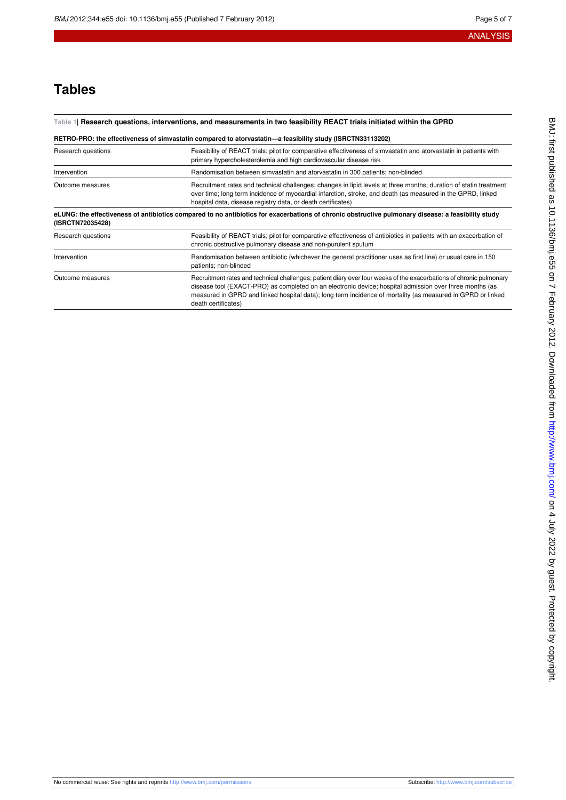# **Tables**

#### <span id="page-4-0"></span>**Table 1| Research questions, interventions, and measurements in two feasibility REACT trials initiated within the GPRD**

#### **RETRO-PRO: the effectiveness of simvastatin compared to atorvastatin—a feasibility study (ISRCTN33113202)**

| Research questions | Feasibility of REACT trials; pilot for comparative effectiveness of simvastatin and atorvastatin in patients with<br>primary hypercholesterolemia and high cardiovascular disease risk                                                                                                                                                                               |  |
|--------------------|----------------------------------------------------------------------------------------------------------------------------------------------------------------------------------------------------------------------------------------------------------------------------------------------------------------------------------------------------------------------|--|
| Intervention       | Randomisation between simvastatin and atorvastatin in 300 patients; non-blinded                                                                                                                                                                                                                                                                                      |  |
| Outcome measures   | Recruitment rates and technical challenges; changes in lipid levels at three months; duration of statin treatment<br>over time; long term incidence of myocardial infarction, stroke, and death (as measured in the GPRD, linked<br>hospital data, disease registry data, or death certificates)                                                                     |  |
| (ISRCTN72035428)   | eLUNG: the effectiveness of antibiotics compared to no antibiotics for exacerbations of chronic obstructive pulmonary disease: a feasibility study                                                                                                                                                                                                                   |  |
| Research questions | Feasibility of REACT trials; pilot for comparative effectiveness of antibiotics in patients with an exacerbation of<br>chronic obstructive pulmonary disease and non-purulent sputum                                                                                                                                                                                 |  |
| Intervention       | Randomisation between antibiotic (whichever the general practitioner uses as first line) or usual care in 150<br>patients; non-blinded                                                                                                                                                                                                                               |  |
| Outcome measures   | Recruitment rates and technical challenges; patient diary over four weeks of the exacerbations of chronic pulmonary<br>disease tool (EXACT-PRO) as completed on an electronic device; hospital admission over three months (as<br>measured in GPRD and linked hospital data); long term incidence of mortality (as measured in GPRD or linked<br>death certificates) |  |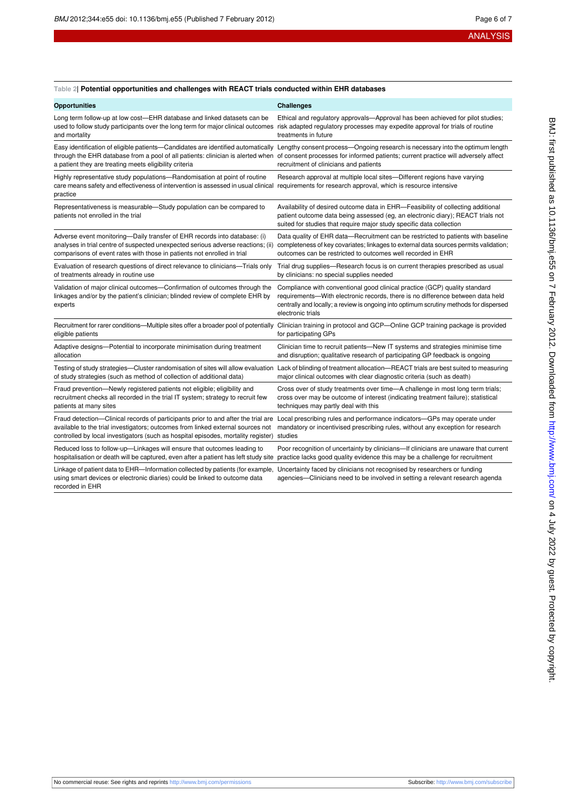### <span id="page-5-0"></span>**Table 2| Potential opportunities and challenges with REACT trials conducted within EHR databases**

| <b>Opportunities</b>                                                                                                                                                                                                                                      | <b>Challenges</b>                                                                                                                                                                                                                                                                                                                                                              |
|-----------------------------------------------------------------------------------------------------------------------------------------------------------------------------------------------------------------------------------------------------------|--------------------------------------------------------------------------------------------------------------------------------------------------------------------------------------------------------------------------------------------------------------------------------------------------------------------------------------------------------------------------------|
| Long term follow-up at low cost—EHR database and linked datasets can be<br>used to follow study participants over the long term for major clinical outcomes<br>and mortality                                                                              | Ethical and regulatory approvals—Approval has been achieved for pilot studies;<br>risk adapted regulatory processes may expedite approval for trials of routine<br>treatments in future                                                                                                                                                                                        |
| a patient they are treating meets eligibility criteria                                                                                                                                                                                                    | Easy identification of eligible patients—Candidates are identified automatically Lengthy consent process—Ongoing research is necessary into the optimum length<br>through the EHR database from a pool of all patients: clinician is alerted when of consent processes for informed patients; current practice will adversely affect<br>recruitment of clinicians and patients |
| Highly representative study populations—Randomisation at point of routine<br>care means safety and effectiveness of intervention is assessed in usual clinical requirements for research approval, which is resource intensive<br>practice                | Research approval at multiple local sites-Different regions have varying                                                                                                                                                                                                                                                                                                       |
| Representativeness is measurable—Study population can be compared to<br>patients not enrolled in the trial                                                                                                                                                | Availability of desired outcome data in EHR—Feasibility of collecting additional<br>patient outcome data being assessed (eg, an electronic diary); REACT trials not<br>suited for studies that require major study specific data collection                                                                                                                                    |
| Adverse event monitoring-Daily transfer of EHR records into database: (i)<br>analyses in trial centre of suspected unexpected serious adverse reactions; (ii)<br>comparisons of event rates with those in patients not enrolled in trial                  | Data quality of EHR data-Recruitment can be restricted to patients with baseline<br>completeness of key covariates; linkages to external data sources permits validation;<br>outcomes can be restricted to outcomes well recorded in EHR                                                                                                                                       |
| Evaluation of research questions of direct relevance to clinicians—Trials only<br>of treatments already in routine use                                                                                                                                    | Trial drug supplies—Research focus is on current therapies prescribed as usual<br>by clinicians: no special supplies needed                                                                                                                                                                                                                                                    |
| Validation of major clinical outcomes—Confirmation of outcomes through the<br>linkages and/or by the patient's clinician; blinded review of complete EHR by<br>experts                                                                                    | Compliance with conventional good clinical practice (GCP) quality standard<br>requirements—With electronic records, there is no difference between data held<br>centrally and locally; a review is ongoing into optimum scrutiny methods for dispersed<br>electronic trials                                                                                                    |
| Recruitment for rarer conditions-Multiple sites offer a broader pool of potentially<br>eligible patients                                                                                                                                                  | Clinician training in protocol and GCP-Online GCP training package is provided<br>for participating GPs                                                                                                                                                                                                                                                                        |
| Adaptive designs-Potential to incorporate minimisation during treatment<br>allocation                                                                                                                                                                     | Clinician time to recruit patients-New IT systems and strategies minimise time<br>and disruption; qualitative research of participating GP feedback is ongoing                                                                                                                                                                                                                 |
| of study strategies (such as method of collection of additional data)                                                                                                                                                                                     | Testing of study strategies—Cluster randomisation of sites will allow evaluation Lack of blinding of treatment allocation—REACT trials are best suited to measuring<br>major clinical outcomes with clear diagnostic criteria (such as death)                                                                                                                                  |
| Fraud prevention-Newly registered patients not eligible; eligibility and<br>recruitment checks all recorded in the trial IT system; strategy to recruit few<br>patients at many sites                                                                     | Cross over of study treatments over time-A challenge in most long term trials;<br>cross over may be outcome of interest (indicating treatment failure); statistical<br>techniques may partly deal with this                                                                                                                                                                    |
| Fraud detection—Clinical records of participants prior to and after the trial are<br>available to the trial investigators; outcomes from linked external sources not<br>controlled by local investigators (such as hospital episodes, mortality register) | Local prescribing rules and performance indicators-GPs may operate under<br>mandatory or incentivised prescribing rules, without any exception for research<br>studies                                                                                                                                                                                                         |
| Reduced loss to follow-up-Linkages will ensure that outcomes leading to<br>hospitalisation or death will be captured, even after a patient has left study site practice lacks good quality evidence this may be a challenge for recruitment               | Poor recognition of uncertainty by clinicians—If clinicians are unaware that current                                                                                                                                                                                                                                                                                           |
| Linkage of patient data to EHR—Information collected by patients (for example,<br>using smart devices or electronic diaries) could be linked to outcome data<br>recorded in EHR                                                                           | Uncertainty faced by clinicians not recognised by researchers or funding<br>agencies—Clinicians need to be involved in setting a relevant research agenda                                                                                                                                                                                                                      |